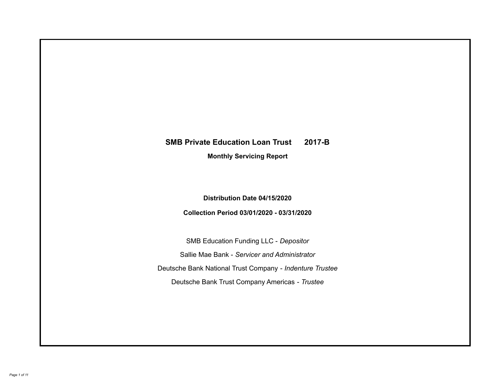# **SMB Private Education Loan Trust 2017-B Monthly Servicing Report**

**Distribution Date 04/15/2020**

**Collection Period 03/01/2020 - 03/31/2020**

SMB Education Funding LLC - *Depositor* Sallie Mae Bank - *Servicer and Administrator* Deutsche Bank National Trust Company - *Indenture Trustee* Deutsche Bank Trust Company Americas - *Trustee*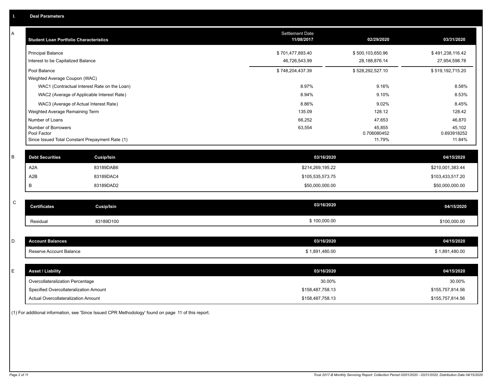| Α | <b>Student Loan Portfolio Characteristics</b>                  | <b>Settlement Date</b><br>11/08/2017 | 02/29/2020            | 03/31/2020            |
|---|----------------------------------------------------------------|--------------------------------------|-----------------------|-----------------------|
|   | <b>Principal Balance</b>                                       | \$701,477,893.40                     | \$500,103,650.96      | \$491,238,116.42      |
|   | Interest to be Capitalized Balance                             | 46,726,543.99                        | 28, 188, 876. 14      | 27,954,598.78         |
|   | Pool Balance                                                   | \$748,204,437.39                     | \$528,292,527.10      | \$519,192,715.20      |
|   | Weighted Average Coupon (WAC)                                  |                                      |                       |                       |
|   | WAC1 (Contractual Interest Rate on the Loan)                   | 8.97%                                | 9.16%                 | 8.58%                 |
|   | WAC2 (Average of Applicable Interest Rate)                     | 8.94%                                | 9.10%                 | 8.53%                 |
|   | WAC3 (Average of Actual Interest Rate)                         | 8.86%                                | 9.02%                 | 8.45%                 |
|   | Weighted Average Remaining Term                                | 135.09                               | 128.12                | 128.42                |
|   | Number of Loans                                                | 66,252                               | 47,653                | 46,870                |
|   | Number of Borrowers                                            | 63,554                               | 45,855                | 45,102                |
|   | Pool Factor<br>Since Issued Total Constant Prepayment Rate (1) |                                      | 0.706080452<br>11.79% | 0.693918252<br>11.84% |
|   |                                                                |                                      |                       |                       |
| B | <b>Debt Securities</b><br><b>Cusip/Isin</b>                    | 03/16/2020                           |                       | 04/15/2020            |
|   | A2A<br>83189DAB6                                               | \$214,269,195.22                     |                       | \$210,001,383.44      |
|   | A2B<br>83189DAC4                                               | \$105,535,573.75                     |                       | \$103,433,517.20      |
|   | B<br>83189DAD2                                                 | \$50,000,000.00                      |                       | \$50,000,000.00       |
|   |                                                                |                                      |                       |                       |
| C | <b>Certificates</b><br><b>Cusip/Isin</b>                       | 03/16/2020                           |                       | 04/15/2020            |
|   | 83189D100<br>Residual                                          | \$100,000.00                         |                       | \$100,000.00          |
|   |                                                                |                                      |                       |                       |
| D | <b>Account Balances</b>                                        | 03/16/2020                           |                       | 04/15/2020            |
|   | Reserve Account Balance                                        | \$1,891,480.00                       |                       | \$1,891,480.00        |
|   |                                                                |                                      |                       |                       |
| Е | <b>Asset / Liability</b>                                       | 03/16/2020                           |                       | 04/15/2020            |
|   | Overcollateralization Percentage                               | 30.00%                               |                       | 30.00%                |
|   | Specified Overcollateralization Amount                         | \$158,487,758.13                     |                       | \$155,757,814.56      |
|   | Actual Overcollateralization Amount                            | \$158,487,758.13                     |                       | \$155,757,814.56      |

(1) For additional information, see 'Since Issued CPR Methodology' found on page 11 of this report.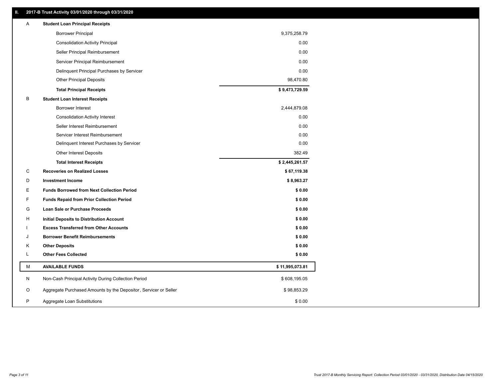# **II. 2017-B Trust Activity 03/01/2020 through 03/31/2020**

| <b>Borrower Principal</b><br>9,375,258.79<br>0.00<br><b>Consolidation Activity Principal</b><br>0.00<br>Seller Principal Reimbursement<br>0.00<br>Servicer Principal Reimbursement<br>0.00<br>Delinquent Principal Purchases by Servicer<br><b>Other Principal Deposits</b><br>98,470.80<br>\$9,473,729.59<br><b>Total Principal Receipts</b><br>В<br><b>Student Loan Interest Receipts</b><br><b>Borrower Interest</b><br>2,444,879.08<br>0.00<br><b>Consolidation Activity Interest</b><br>0.00<br>Seller Interest Reimbursement<br>0.00<br>Servicer Interest Reimbursement<br>0.00<br>Delinquent Interest Purchases by Servicer<br>382.49<br>Other Interest Deposits<br>\$2,445,261.57<br><b>Total Interest Receipts</b><br>C<br>\$67,119.38<br><b>Recoveries on Realized Losses</b><br>D<br><b>Investment Income</b><br>\$8,963.27<br>E.<br><b>Funds Borrowed from Next Collection Period</b><br>\$0.00<br>F<br>\$0.00<br><b>Funds Repaid from Prior Collection Period</b><br>G<br>\$0.00<br>Loan Sale or Purchase Proceeds<br>\$0.00<br>н<br>Initial Deposits to Distribution Account<br>\$0.00<br><b>Excess Transferred from Other Accounts</b><br><b>Borrower Benefit Reimbursements</b><br>\$0.00<br>J<br><b>Other Deposits</b><br>\$0.00<br>Κ<br>L<br><b>Other Fees Collected</b><br>\$0.00<br>М<br><b>AVAILABLE FUNDS</b><br>\$11,995,073.81 |   | <b>Student Loan Principal Receipts</b>               |              |
|--------------------------------------------------------------------------------------------------------------------------------------------------------------------------------------------------------------------------------------------------------------------------------------------------------------------------------------------------------------------------------------------------------------------------------------------------------------------------------------------------------------------------------------------------------------------------------------------------------------------------------------------------------------------------------------------------------------------------------------------------------------------------------------------------------------------------------------------------------------------------------------------------------------------------------------------------------------------------------------------------------------------------------------------------------------------------------------------------------------------------------------------------------------------------------------------------------------------------------------------------------------------------------------------------------------------------------------------------------|---|------------------------------------------------------|--------------|
|                                                                                                                                                                                                                                                                                                                                                                                                                                                                                                                                                                                                                                                                                                                                                                                                                                                                                                                                                                                                                                                                                                                                                                                                                                                                                                                                                        |   |                                                      |              |
|                                                                                                                                                                                                                                                                                                                                                                                                                                                                                                                                                                                                                                                                                                                                                                                                                                                                                                                                                                                                                                                                                                                                                                                                                                                                                                                                                        |   |                                                      |              |
|                                                                                                                                                                                                                                                                                                                                                                                                                                                                                                                                                                                                                                                                                                                                                                                                                                                                                                                                                                                                                                                                                                                                                                                                                                                                                                                                                        |   |                                                      |              |
|                                                                                                                                                                                                                                                                                                                                                                                                                                                                                                                                                                                                                                                                                                                                                                                                                                                                                                                                                                                                                                                                                                                                                                                                                                                                                                                                                        |   |                                                      |              |
|                                                                                                                                                                                                                                                                                                                                                                                                                                                                                                                                                                                                                                                                                                                                                                                                                                                                                                                                                                                                                                                                                                                                                                                                                                                                                                                                                        |   |                                                      |              |
|                                                                                                                                                                                                                                                                                                                                                                                                                                                                                                                                                                                                                                                                                                                                                                                                                                                                                                                                                                                                                                                                                                                                                                                                                                                                                                                                                        |   |                                                      |              |
|                                                                                                                                                                                                                                                                                                                                                                                                                                                                                                                                                                                                                                                                                                                                                                                                                                                                                                                                                                                                                                                                                                                                                                                                                                                                                                                                                        |   |                                                      |              |
|                                                                                                                                                                                                                                                                                                                                                                                                                                                                                                                                                                                                                                                                                                                                                                                                                                                                                                                                                                                                                                                                                                                                                                                                                                                                                                                                                        |   |                                                      |              |
|                                                                                                                                                                                                                                                                                                                                                                                                                                                                                                                                                                                                                                                                                                                                                                                                                                                                                                                                                                                                                                                                                                                                                                                                                                                                                                                                                        |   |                                                      |              |
|                                                                                                                                                                                                                                                                                                                                                                                                                                                                                                                                                                                                                                                                                                                                                                                                                                                                                                                                                                                                                                                                                                                                                                                                                                                                                                                                                        |   |                                                      |              |
|                                                                                                                                                                                                                                                                                                                                                                                                                                                                                                                                                                                                                                                                                                                                                                                                                                                                                                                                                                                                                                                                                                                                                                                                                                                                                                                                                        |   |                                                      |              |
|                                                                                                                                                                                                                                                                                                                                                                                                                                                                                                                                                                                                                                                                                                                                                                                                                                                                                                                                                                                                                                                                                                                                                                                                                                                                                                                                                        |   |                                                      |              |
|                                                                                                                                                                                                                                                                                                                                                                                                                                                                                                                                                                                                                                                                                                                                                                                                                                                                                                                                                                                                                                                                                                                                                                                                                                                                                                                                                        |   |                                                      |              |
|                                                                                                                                                                                                                                                                                                                                                                                                                                                                                                                                                                                                                                                                                                                                                                                                                                                                                                                                                                                                                                                                                                                                                                                                                                                                                                                                                        |   |                                                      |              |
|                                                                                                                                                                                                                                                                                                                                                                                                                                                                                                                                                                                                                                                                                                                                                                                                                                                                                                                                                                                                                                                                                                                                                                                                                                                                                                                                                        |   |                                                      |              |
|                                                                                                                                                                                                                                                                                                                                                                                                                                                                                                                                                                                                                                                                                                                                                                                                                                                                                                                                                                                                                                                                                                                                                                                                                                                                                                                                                        |   |                                                      |              |
|                                                                                                                                                                                                                                                                                                                                                                                                                                                                                                                                                                                                                                                                                                                                                                                                                                                                                                                                                                                                                                                                                                                                                                                                                                                                                                                                                        |   |                                                      |              |
|                                                                                                                                                                                                                                                                                                                                                                                                                                                                                                                                                                                                                                                                                                                                                                                                                                                                                                                                                                                                                                                                                                                                                                                                                                                                                                                                                        |   |                                                      |              |
|                                                                                                                                                                                                                                                                                                                                                                                                                                                                                                                                                                                                                                                                                                                                                                                                                                                                                                                                                                                                                                                                                                                                                                                                                                                                                                                                                        |   |                                                      |              |
|                                                                                                                                                                                                                                                                                                                                                                                                                                                                                                                                                                                                                                                                                                                                                                                                                                                                                                                                                                                                                                                                                                                                                                                                                                                                                                                                                        |   |                                                      |              |
|                                                                                                                                                                                                                                                                                                                                                                                                                                                                                                                                                                                                                                                                                                                                                                                                                                                                                                                                                                                                                                                                                                                                                                                                                                                                                                                                                        |   |                                                      |              |
|                                                                                                                                                                                                                                                                                                                                                                                                                                                                                                                                                                                                                                                                                                                                                                                                                                                                                                                                                                                                                                                                                                                                                                                                                                                                                                                                                        |   |                                                      |              |
|                                                                                                                                                                                                                                                                                                                                                                                                                                                                                                                                                                                                                                                                                                                                                                                                                                                                                                                                                                                                                                                                                                                                                                                                                                                                                                                                                        |   |                                                      |              |
|                                                                                                                                                                                                                                                                                                                                                                                                                                                                                                                                                                                                                                                                                                                                                                                                                                                                                                                                                                                                                                                                                                                                                                                                                                                                                                                                                        |   |                                                      |              |
|                                                                                                                                                                                                                                                                                                                                                                                                                                                                                                                                                                                                                                                                                                                                                                                                                                                                                                                                                                                                                                                                                                                                                                                                                                                                                                                                                        |   |                                                      |              |
|                                                                                                                                                                                                                                                                                                                                                                                                                                                                                                                                                                                                                                                                                                                                                                                                                                                                                                                                                                                                                                                                                                                                                                                                                                                                                                                                                        |   |                                                      |              |
|                                                                                                                                                                                                                                                                                                                                                                                                                                                                                                                                                                                                                                                                                                                                                                                                                                                                                                                                                                                                                                                                                                                                                                                                                                                                                                                                                        |   |                                                      |              |
| O<br>Aggregate Purchased Amounts by the Depositor, Servicer or Seller<br>\$98,853.29                                                                                                                                                                                                                                                                                                                                                                                                                                                                                                                                                                                                                                                                                                                                                                                                                                                                                                                                                                                                                                                                                                                                                                                                                                                                   | N | Non-Cash Principal Activity During Collection Period | \$608,195.05 |
| P<br>\$0.00<br>Aggregate Loan Substitutions                                                                                                                                                                                                                                                                                                                                                                                                                                                                                                                                                                                                                                                                                                                                                                                                                                                                                                                                                                                                                                                                                                                                                                                                                                                                                                            |   |                                                      |              |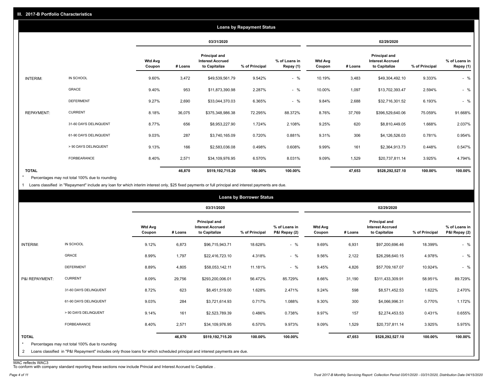|                   |                       |                          |            |                                                           | <b>Loans by Repayment Status</b> |                            |                          |         |                                                           |                |                            |
|-------------------|-----------------------|--------------------------|------------|-----------------------------------------------------------|----------------------------------|----------------------------|--------------------------|---------|-----------------------------------------------------------|----------------|----------------------------|
|                   |                       |                          | 03/31/2020 |                                                           |                                  | 02/29/2020                 |                          |         |                                                           |                |                            |
|                   |                       | <b>Wtd Avg</b><br>Coupon | # Loans    | Principal and<br><b>Interest Accrued</b><br>to Capitalize | % of Principal                   | % of Loans in<br>Repay (1) | <b>Wtd Avg</b><br>Coupon | # Loans | Principal and<br><b>Interest Accrued</b><br>to Capitalize | % of Principal | % of Loans in<br>Repay (1) |
| INTERIM:          | IN SCHOOL             | 9.60%                    | 3,472      | \$49,539,561.79                                           | 9.542%                           | $-$ %                      | 10.19%                   | 3,483   | \$49,304,492.10                                           | 9.333%         | $-$ %                      |
|                   | GRACE                 | 9.40%                    | 953        | \$11,873,390.98                                           | 2.287%                           | $-$ %                      | 10.00%                   | 1,097   | \$13,702,393.47                                           | 2.594%         | $-$ %                      |
|                   | <b>DEFERMENT</b>      | 9.27%                    | 2,690      | \$33,044,370.03                                           | 6.365%                           | $-$ %                      | 9.84%                    | 2,688   | \$32,716,301.52                                           | 6.193%         | $-$ %                      |
| <b>REPAYMENT:</b> | <b>CURRENT</b>        | 8.18%                    | 36,075     | \$375,348,986.38                                          | 72.295%                          | 88.372%                    | 8.76%                    | 37,769  | \$396,529,640.06                                          | 75.059%        | 91.668%                    |
|                   | 31-60 DAYS DELINQUENT | 8.77%                    | 656        | \$8,953,227.90                                            | 1.724%                           | 2.108%                     | 9.25%                    | 620     | \$8,810,449.05                                            | 1.668%         | 2.037%                     |
|                   | 61-90 DAYS DELINQUENT | 9.03%                    | 287        | \$3,740,165.09                                            | 0.720%                           | 0.881%                     | 9.31%                    | 306     | \$4,126,526.03                                            | 0.781%         | 0.954%                     |
|                   | > 90 DAYS DELINQUENT  | 9.13%                    | 166        | \$2,583,036.08                                            | 0.498%                           | 0.608%                     | 9.99%                    | 161     | \$2,364,913.73                                            | 0.448%         | 0.547%                     |
|                   | FORBEARANCE           | 8.40%                    | 2,571      | \$34,109,976.95                                           | 6.570%                           | 8.031%                     | 9.09%                    | 1,529   | \$20,737,811.14                                           | 3.925%         | 4.794%                     |
| <b>TOTAL</b>      |                       |                          | 46,870     | \$519,192,715.20                                          | 100.00%                          | 100.00%                    |                          | 47,653  | \$528,292,527.10                                          | 100.00%        | 100.00%                    |

Percentages may not total 100% due to rounding \*

1 Loans classified in "Repayment" include any loan for which interim interest only, \$25 fixed payments or full principal and interest payments are due.

|                              |                                                                                                                                                                              |                          |         |                                                           | <b>Loans by Borrower Status</b> |                                |                          |         |                                                                  |                |                                |
|------------------------------|------------------------------------------------------------------------------------------------------------------------------------------------------------------------------|--------------------------|---------|-----------------------------------------------------------|---------------------------------|--------------------------------|--------------------------|---------|------------------------------------------------------------------|----------------|--------------------------------|
|                              |                                                                                                                                                                              |                          |         | 03/31/2020                                                |                                 |                                | 02/29/2020               |         |                                                                  |                |                                |
|                              |                                                                                                                                                                              | <b>Wtd Avg</b><br>Coupon | # Loans | Principal and<br><b>Interest Accrued</b><br>to Capitalize | % of Principal                  | % of Loans in<br>P&I Repay (2) | <b>Wtd Avg</b><br>Coupon | # Loans | <b>Principal and</b><br><b>Interest Accrued</b><br>to Capitalize | % of Principal | % of Loans in<br>P&I Repay (2) |
| INTERIM:                     | IN SCHOOL                                                                                                                                                                    | 9.12%                    | 6,873   | \$96,715,943.71                                           | 18.628%                         | $-$ %                          | 9.69%                    | 6,931   | \$97,200,696.46                                                  | 18.399%        | $-$ %                          |
|                              | GRACE                                                                                                                                                                        | 8.99%                    | 1,797   | \$22,416,723.10                                           | 4.318%                          | $-$ %                          | 9.56%                    | 2,122   | \$26,298,640.15                                                  | 4.978%         | $-$ %                          |
|                              | <b>DEFERMENT</b>                                                                                                                                                             | 8.89%                    | 4,805   | \$58,053,142.11                                           | 11.181%                         | $-$ %                          | 9.45%                    | 4,826   | \$57,709,167.07                                                  | 10.924%        | $-$ %                          |
| P&I REPAYMENT:               | <b>CURRENT</b>                                                                                                                                                               | 8.09%                    | 29,756  | \$293,200,006.01                                          | 56.472%                         | 85.729%                        | 8.66%                    | 31,190  | \$311,433,309.91                                                 | 58.951%        | 89.729%                        |
|                              | 31-60 DAYS DELINQUENT                                                                                                                                                        | 8.72%                    | 623     | \$8,451,519.00                                            | 1.628%                          | 2.471%                         | 9.24%                    | 598     | \$8,571,452.53                                                   | 1.622%         | 2.470%                         |
|                              | 61-90 DAYS DELINQUENT                                                                                                                                                        | 9.03%                    | 284     | \$3,721,614.93                                            | 0.717%                          | 1.088%                         | 9.30%                    | 300     | \$4,066,996.31                                                   | 0.770%         | 1.172%                         |
|                              | > 90 DAYS DELINQUENT                                                                                                                                                         | 9.14%                    | 161     | \$2,523,789.39                                            | 0.486%                          | 0.738%                         | 9.97%                    | 157     | \$2,274,453.53                                                   | 0.431%         | 0.655%                         |
|                              | FORBEARANCE                                                                                                                                                                  | 8.40%                    | 2,571   | \$34,109,976.95                                           | 6.570%                          | 9.973%                         | 9.09%                    | 1,529   | \$20,737,811.14                                                  | 3.925%         | 5.975%                         |
| <b>TOTAL</b><br>$\star$<br>2 | Percentages may not total 100% due to rounding<br>Loans classified in "P&I Repayment" includes only those loans for which scheduled principal and interest payments are due. |                          | 46,870  | \$519,192,715.20                                          | 100.00%                         | 100.00%                        |                          | 47,653  | \$528,292,527.10                                                 | 100.00%        | 100.00%                        |

WAC reflects WAC3 To conform with company standard reporting these sections now include Princial and Interest Accrued to Capitalize .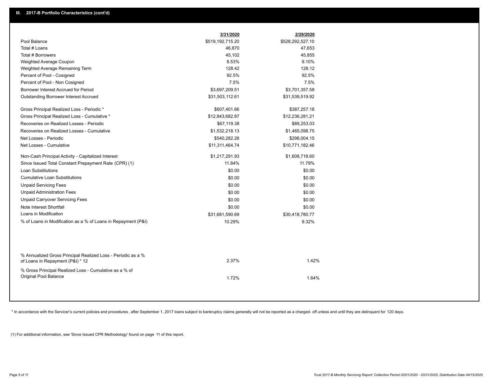|                                                                                                  | 3/31/2020        | 2/29/2020        |  |
|--------------------------------------------------------------------------------------------------|------------------|------------------|--|
| Pool Balance                                                                                     | \$519,192,715.20 | \$528,292,527.10 |  |
| Total # Loans                                                                                    | 46,870           | 47,653           |  |
| Total # Borrowers                                                                                | 45,102           | 45,855           |  |
| Weighted Average Coupon                                                                          | 8.53%            | 9.10%            |  |
| Weighted Average Remaining Term                                                                  | 128.42           | 128.12           |  |
| Percent of Pool - Cosigned                                                                       | 92.5%            | 92.5%            |  |
| Percent of Pool - Non Cosigned                                                                   | 7.5%             | 7.5%             |  |
| Borrower Interest Accrued for Period                                                             | \$3,697,209.51   | \$3,701,357.58   |  |
| Outstanding Borrower Interest Accrued                                                            | \$31,503,112.61  | \$31,539,519.92  |  |
| Gross Principal Realized Loss - Periodic *                                                       | \$607,401.66     | \$387,257.18     |  |
| Gross Principal Realized Loss - Cumulative *                                                     | \$12,843,682.87  | \$12,236,281.21  |  |
| Recoveries on Realized Losses - Periodic                                                         | \$67,119.38      | \$89,253.03      |  |
| Recoveries on Realized Losses - Cumulative                                                       | \$1,532,218.13   | \$1,465,098.75   |  |
| Net Losses - Periodic                                                                            | \$540,282.28     | \$298,004.15     |  |
| Net Losses - Cumulative                                                                          | \$11,311,464.74  | \$10,771,182.46  |  |
| Non-Cash Principal Activity - Capitalized Interest                                               | \$1,217,291.93   | \$1,608,718.60   |  |
| Since Issued Total Constant Prepayment Rate (CPR) (1)                                            | 11.84%           | 11.79%           |  |
| <b>Loan Substitutions</b>                                                                        | \$0.00           | \$0.00           |  |
| <b>Cumulative Loan Substitutions</b>                                                             | \$0.00           | \$0.00           |  |
| <b>Unpaid Servicing Fees</b>                                                                     | \$0.00           | \$0.00           |  |
| <b>Unpaid Administration Fees</b>                                                                | \$0.00           | \$0.00           |  |
| <b>Unpaid Carryover Servicing Fees</b>                                                           | \$0.00           | \$0.00           |  |
| Note Interest Shortfall                                                                          | \$0.00           | \$0.00           |  |
| Loans in Modification                                                                            | \$31,681,590.69  | \$30,418,780.77  |  |
| % of Loans in Modification as a % of Loans in Repayment (P&I)                                    | 10.29%           | 9.32%            |  |
|                                                                                                  |                  |                  |  |
| % Annualized Gross Principal Realized Loss - Periodic as a %<br>of Loans in Repayment (P&I) * 12 | 2.37%            | 1.42%            |  |
| % Gross Principal Realized Loss - Cumulative as a % of<br>Original Pool Balance                  | 1.72%            | 1.64%            |  |

\* In accordance with the Servicer's current policies and procedures, after September 1, 2017 loans subject to bankruptcy claims generally will not be reported as a charged- off unless and until they are delinquent for 120

(1) For additional information, see 'Since Issued CPR Methodology' found on page 11 of this report.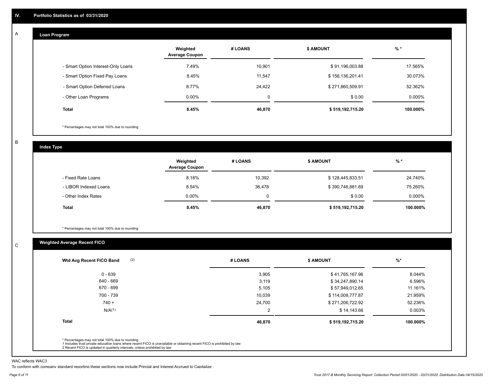#### **Loan Program**  A

|                                    | Weighted<br><b>Average Coupon</b> | # LOANS     | <b>\$ AMOUNT</b> | $%$ *     |
|------------------------------------|-----------------------------------|-------------|------------------|-----------|
| - Smart Option Interest-Only Loans | 7.49%                             | 10.901      | \$91,196,003.88  | 17.565%   |
| - Smart Option Fixed Pay Loans     | 8.45%                             | 11.547      | \$156,136,201.41 | 30.073%   |
| - Smart Option Deferred Loans      | 8.77%                             | 24.422      | \$271,860,509.91 | 52.362%   |
| - Other Loan Programs              | $0.00\%$                          | $\mathbf 0$ | \$0.00           | $0.000\%$ |
| <b>Total</b>                       | 8.45%                             | 46,870      | \$519,192,715.20 | 100.000%  |

\* Percentages may not total 100% due to rounding

B

C

**Index Type**

|                       | Weighted<br><b>Average Coupon</b> | # LOANS | \$ AMOUNT        | $%$ *    |
|-----------------------|-----------------------------------|---------|------------------|----------|
| - Fixed Rate Loans    | 8.18%                             | 10,392  | \$128,445,833.51 | 24.740%  |
| - LIBOR Indexed Loans | 8.54%                             | 36,478  | \$390,746,881.69 | 75.260%  |
| - Other Index Rates   | $0.00\%$                          | 0       | \$0.00           | 0.000%   |
| <b>Total</b>          | 8.45%                             | 46,870  | \$519,192,715.20 | 100.000% |

\* Percentages may not total 100% due to rounding

# **Weighted Average Recent FICO**

| $0 - 639$          | 3,905  | \$41,765,167.96  | 8.044%   |
|--------------------|--------|------------------|----------|
| 640 - 669          | 3,119  | \$34,247,890.14  | 6.596%   |
| 670 - 699          | 5,105  | \$57,949,012.65  | 11.161%  |
| 700 - 739          | 10,039 | \$114,009,777.87 | 21.959%  |
| $740 +$            | 24,700 | \$271,206,722.92 | 52.236%  |
| N/A <sup>(1)</sup> | 2      | \$14,143.66      | 0.003%   |
| <b>Total</b>       | 46,870 | \$519,192,715.20 | 100.000% |

WAC reflects WAC3

To conform with company standard reporting these sections now include Princial and Interest Accrued to Capitalize .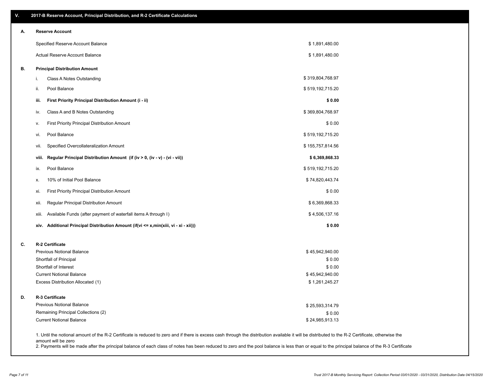| V. | 2017-B Reserve Account, Principal Distribution, and R-2 Certificate Calculations                                                                                                                   |                                   |  |
|----|----------------------------------------------------------------------------------------------------------------------------------------------------------------------------------------------------|-----------------------------------|--|
| А. | <b>Reserve Account</b>                                                                                                                                                                             |                                   |  |
|    | Specified Reserve Account Balance                                                                                                                                                                  | \$1,891,480.00                    |  |
|    | Actual Reserve Account Balance                                                                                                                                                                     | \$1,891,480.00                    |  |
| В. | <b>Principal Distribution Amount</b>                                                                                                                                                               |                                   |  |
|    | Class A Notes Outstanding<br>i.                                                                                                                                                                    | \$319,804,768.97                  |  |
|    | Pool Balance<br>ii.                                                                                                                                                                                | \$519,192,715.20                  |  |
|    | iii.<br>First Priority Principal Distribution Amount (i - ii)                                                                                                                                      | \$0.00                            |  |
|    | Class A and B Notes Outstanding<br>iv.                                                                                                                                                             | \$369,804,768.97                  |  |
|    | <b>First Priority Principal Distribution Amount</b><br>ν.                                                                                                                                          | \$0.00                            |  |
|    | Pool Balance<br>vi.                                                                                                                                                                                | \$519,192,715.20                  |  |
|    | Specified Overcollateralization Amount<br>vii.                                                                                                                                                     | \$155,757,814.56                  |  |
|    | Regular Principal Distribution Amount (if (iv > 0, (iv - v) - (vi - vii))<br>viii.                                                                                                                 | \$6,369,868.33                    |  |
|    | Pool Balance<br>ix.                                                                                                                                                                                | \$519,192,715.20                  |  |
|    | 10% of Initial Pool Balance<br>х.                                                                                                                                                                  | \$74,820,443.74                   |  |
|    | First Priority Principal Distribution Amount<br>xi.                                                                                                                                                | \$0.00                            |  |
|    | Regular Principal Distribution Amount<br>xii.                                                                                                                                                      | \$6,369,868.33                    |  |
|    | Available Funds (after payment of waterfall items A through I)<br>xiii.                                                                                                                            | \$4,506,137.16                    |  |
|    | xiv. Additional Principal Distribution Amount (if(vi <= x,min(xiii, vi - xi - xii)))                                                                                                               | \$0.00                            |  |
| C. | R-2 Certificate                                                                                                                                                                                    |                                   |  |
|    | <b>Previous Notional Balance</b>                                                                                                                                                                   | \$45,942,940.00                   |  |
|    | Shortfall of Principal                                                                                                                                                                             | \$0.00                            |  |
|    | Shortfall of Interest                                                                                                                                                                              | \$0.00                            |  |
|    | <b>Current Notional Balance</b><br>Excess Distribution Allocated (1)                                                                                                                               | \$45,942,940.00<br>\$1,261,245.27 |  |
| D. | R-3 Certificate                                                                                                                                                                                    |                                   |  |
|    | <b>Previous Notional Balance</b>                                                                                                                                                                   | \$25,593,314.79                   |  |
|    | Remaining Principal Collections (2)                                                                                                                                                                | \$0.00                            |  |
|    | <b>Current Notional Balance</b>                                                                                                                                                                    | \$24,985,913.13                   |  |
|    | 1. Until the notional amount of the R-2 Certificate is reduced to zero and if there is excess cash through the distribution available it will be distributed to the R-2 Certificate, otherwise the |                                   |  |

amount will be zero

2. Payments will be made after the principal balance of each class of notes has been reduced to zero and the pool balance is less than or equal to the principal balance of the R-3 Certificate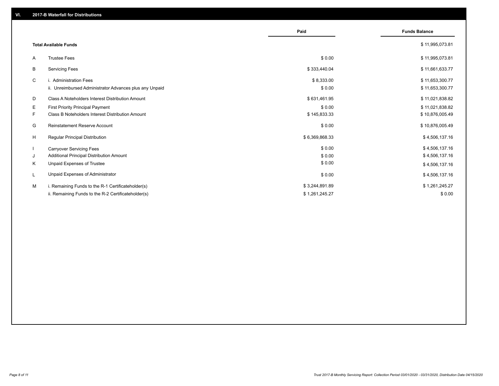|    |                                                         | Paid           | <b>Funds Balance</b> |
|----|---------------------------------------------------------|----------------|----------------------|
|    | <b>Total Available Funds</b>                            |                | \$11,995,073.81      |
| A  | <b>Trustee Fees</b>                                     | \$0.00         | \$11,995,073.81      |
| В  | <b>Servicing Fees</b>                                   | \$333,440.04   | \$11,661,633.77      |
| C  | i. Administration Fees                                  | \$8,333.00     | \$11,653,300.77      |
|    | ii. Unreimbursed Administrator Advances plus any Unpaid | \$0.00         | \$11,653,300.77      |
| D  | Class A Noteholders Interest Distribution Amount        | \$631,461.95   | \$11,021,838.82      |
| E. | <b>First Priority Principal Payment</b>                 | \$0.00         | \$11,021,838.82      |
| F. | Class B Noteholders Interest Distribution Amount        | \$145,833.33   | \$10,876,005.49      |
| G  | Reinstatement Reserve Account                           | \$0.00         | \$10,876,005.49      |
| H  | <b>Regular Principal Distribution</b>                   | \$6,369,868.33 | \$4,506,137.16       |
|    | <b>Carryover Servicing Fees</b>                         | \$0.00         | \$4,506,137.16       |
| J  | Additional Principal Distribution Amount                | \$0.00         | \$4,506,137.16       |
| Κ  | Unpaid Expenses of Trustee                              | \$0.00         | \$4,506,137.16       |
| L  | Unpaid Expenses of Administrator                        | \$0.00         | \$4,506,137.16       |
| M  | i. Remaining Funds to the R-1 Certificateholder(s)      | \$3,244,891.89 | \$1,261,245.27       |
|    | ii. Remaining Funds to the R-2 Certificateholder(s)     | \$1,261,245.27 | \$0.00               |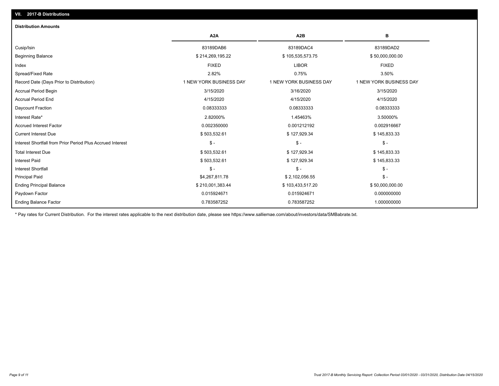| A <sub>2</sub> A        | A <sub>2</sub> B        | в                       |
|-------------------------|-------------------------|-------------------------|
| 83189DAB6               | 83189DAC4               | 83189DAD2               |
| \$214,269,195.22        | \$105,535,573.75        | \$50,000,000.00         |
| <b>FIXED</b>            | <b>LIBOR</b>            | <b>FIXED</b>            |
| 2.82%                   | 0.75%                   | 3.50%                   |
| 1 NEW YORK BUSINESS DAY | 1 NEW YORK BUSINESS DAY | 1 NEW YORK BUSINESS DAY |
| 3/15/2020               | 3/16/2020               | 3/15/2020               |
| 4/15/2020               | 4/15/2020               | 4/15/2020               |
| 0.08333333              | 0.08333333              | 0.08333333              |
| 2.82000%                | 1.45463%                | 3.50000%                |
| 0.002350000             | 0.001212192             | 0.002916667             |
| \$503,532.61            | \$127,929.34            | \$145,833.33            |
| $\mathcal{S}$ -         | $\mathcal{S}$ -         | $\mathcal{S}$ -         |
| \$503,532.61            | \$127,929.34            | \$145,833.33            |
| \$503,532.61            | \$127,929.34            | \$145,833.33            |
| $\mathsf{\$}$ -         | $\mathsf{\$}$ -         | $\mathcal{S}$ -         |
| \$4,267,811.78          | \$2,102,056.55          | $\mathcal{S}$ -         |
| \$210,001,383.44        | \$103,433,517.20        | \$50,000,000.00         |
| 0.015924671             | 0.015924671             | 0.000000000             |
| 0.783587252             | 0.783587252             | 1.000000000             |
|                         |                         |                         |

\* Pay rates for Current Distribution. For the interest rates applicable to the next distribution date, please see https://www.salliemae.com/about/investors/data/SMBabrate.txt.

**VII. 2017-B Distributions**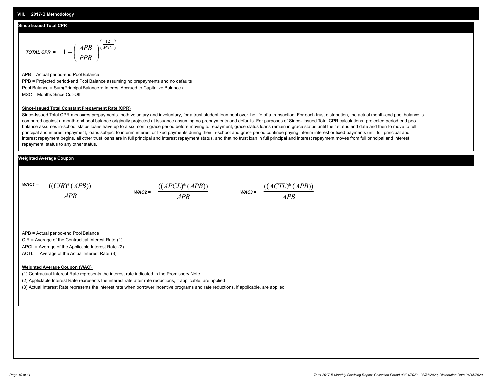#### **Since Issued Total CPR**

$$
\text{total CPR} = 1 - \left(\frac{APB}{PPB}\right)^{\left(\frac{12}{MSC}\right)}
$$

APB = Actual period-end Pool Balance PPB = Projected period-end Pool Balance assuming no prepayments and no defaults Pool Balance = Sum(Principal Balance + Interest Accrued to Capitalize Balance) MSC = Months Since Cut-Off

#### **Since-Issued Total Constant Prepayment Rate (CPR)**

Since-Issued Total CPR measures prepayments, both voluntary and involuntary, for a trust student loan pool over the life of a transaction. For each trust distribution, the actual month-end pool balance is compared against a month-end pool balance originally projected at issuance assuming no prepayments and defaults. For purposes of Since- Issued Total CPR calculations, projected period end pool balance assumes in-school status loans have up to a six month grace period before moving to repayment, grace status loans remain in grace status until their status end date and then to move to full principal and interest repayment, loans subject to interim interest or fixed payments during their in-school and grace period continue paying interim interest or fixed payments until full principal and interest repayment begins, all other trust loans are in full principal and interest repayment status, and that no trust loan in full principal and interest repayment moves from full principal and interest repayment status to any other status.

### **Weighted Average Coupon**

*WAC1 = APB* ((*CIR*)\*(*APB*))

*WAC2 = APB*  $\frac{((APCL)^{*}(APB))}{APB}$  wac<sub>3</sub> =  $\frac{((ACTL)^{*}(A)P}{APB}$ 



APB = Actual period-end Pool Balance

CIR = Average of the Contractual Interest Rate (1)

APCL = Average of the Applicable Interest Rate (2)

ACTL = Average of the Actual Interest Rate (3)

#### **Weighted Average Coupon (WAC)**

(1) Contractual Interest Rate represents the interest rate indicated in the Promissory Note

(2) Appliclable Interest Rate represents the interest rate after rate reductions, if applicable, are applied

(3) Actual Interest Rate represents the interest rate when borrower incentive programs and rate reductions, if applicable, are applied